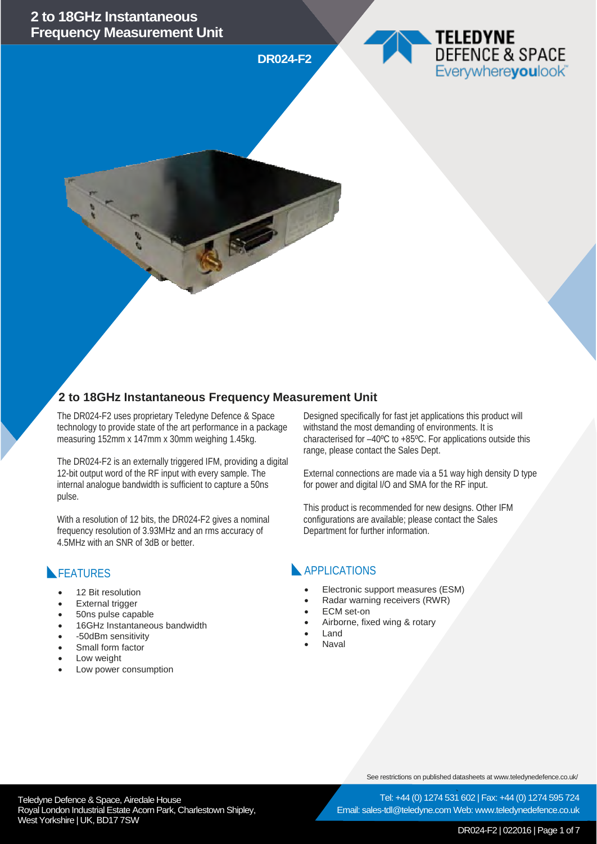**DR024-F2**





## **2 to 18GHz Instantaneous Frequency Measurement Unit**

The DR024-F2 uses proprietary Teledyne Defence & Space technology to provide state of the art performance in a package measuring 152mm x 147mm x 30mm weighing 1.45kg.

The DR024-F2 is an externally triggered IFM, providing a digital 12-bit output word of the RF input with every sample. The internal analogue bandwidth is sufficient to capture a 50ns pulse.

With a resolution of 12 bits, the DR024-F2 gives a nominal frequency resolution of 3.93MHz and an rms accuracy of 4.5MHz with an SNR of 3dB or better.

## FEATURES

- 12 Bit resolution
- **External trigger**
- 50ns pulse capable
- 16GHz Instantaneous bandwidth
- -50dBm sensitivity
- Small form factor
- Low weight
- Low power consumption

Designed specifically for fast jet applications this product will withstand the most demanding of environments. It is characterised for –40ºC to +85ºC. For applications outside this range, please contact the Sales Dept.

External connections are made via a 51 way high density D type for power and digital I/O and SMA for the RF input.

This product is recommended for new designs. Other IFM configurations are available; please contact the Sales Department for further information.

### **APPLICATIONS**

- Electronic support measures (ESM)
- Radar warning receivers (RWR)
- ECM set-on
- Airborne, fixed wing & rotary
- Land
- **Naval**

See restrictions on published datasheets at www.teledynedefence.co.uk/

Tel: +44 (0) 1274 531 602 | Fax: +44 (0) 1274 595 724 Email: sales-tdl@teledyne.com Web: www.teledynedefence.co.uk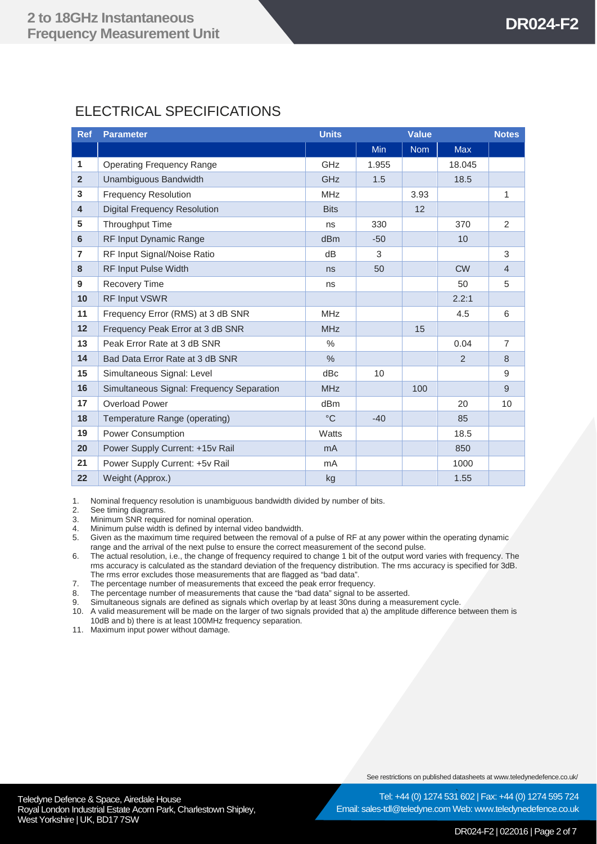# ELECTRICAL SPECIFICATIONS

| <b>Ref</b>              | <b>Parameter</b>                          | <b>Units</b>    | <b>Value</b> |            | <b>Notes</b> |                |
|-------------------------|-------------------------------------------|-----------------|--------------|------------|--------------|----------------|
|                         |                                           |                 | <b>Min</b>   | <b>Nom</b> | <b>Max</b>   |                |
| 1                       | <b>Operating Frequency Range</b>          | GHz             | 1.955        |            | 18.045       |                |
| $\overline{2}$          | Unambiguous Bandwidth                     | <b>GHz</b>      | 1.5          |            | 18.5         |                |
| 3                       | <b>Frequency Resolution</b>               | <b>MHz</b>      |              | 3.93       |              | 1              |
| $\overline{\mathbf{4}}$ | <b>Digital Frequency Resolution</b>       | <b>Bits</b>     |              | 12         |              |                |
| 5                       | Throughput Time                           | ns              | 330          |            | 370          | 2              |
| 6                       | RF Input Dynamic Range                    | dBm             | $-50$        |            | 10           |                |
| $\overline{7}$          | RF Input Signal/Noise Ratio               | dB              | 3            |            |              | 3              |
| 8                       | <b>RF Input Pulse Width</b>               | ns              | 50           |            | <b>CW</b>    | $\overline{4}$ |
| 9                       | Recovery Time                             | ns              |              |            | 50           | 5              |
| 10                      | RF Input VSWR                             |                 |              |            | 2.2:1        |                |
| 11                      | Frequency Error (RMS) at 3 dB SNR         | <b>MHz</b>      |              |            | 4.5          | 6              |
| 12                      | Frequency Peak Error at 3 dB SNR          | <b>MHz</b>      |              | 15         |              |                |
| 13                      | Peak Error Rate at 3 dB SNR               | $\%$            |              |            | 0.04         | $\overline{7}$ |
| 14                      | Bad Data Error Rate at 3 dB SNR           | $\frac{0}{0}$   |              |            | 2            | 8              |
| 15                      | Simultaneous Signal: Level                | dBc             | 10           |            |              | 9              |
| 16                      | Simultaneous Signal: Frequency Separation | <b>MHz</b>      |              | 100        |              | 9              |
| 17                      | <b>Overload Power</b>                     | dB <sub>m</sub> |              |            | 20           | 10             |
| 18                      | Temperature Range (operating)             | $^{\circ}C$     | $-40$        |            | 85           |                |
| 19                      | Power Consumption                         | Watts           |              |            | 18.5         |                |
| 20                      | Power Supply Current: +15v Rail           | m <sub>A</sub>  |              |            | 850          |                |
| 21                      | Power Supply Current: +5v Rail            | mA              |              |            | 1000         |                |
| 22                      | Weight (Approx.)                          | kg              |              |            | 1.55         |                |

1. Nominal frequency resolution is unambiguous bandwidth divided by number of bits.

2. See timing diagrams.<br>3. Minimum SNR require Minimum SNR required for nominal operation.

4. Minimum pulse width is defined by internal video bandwidth.

- 5. Given as the maximum time required between the removal of a pulse of RF at any power within the operating dynamic range and the arrival of the next pulse to ensure the correct measurement of the second pulse.
- 6. The actual resolution, i.e., the change of frequency required to change 1 bit of the output word varies with frequency. The rms accuracy is calculated as the standard deviation of the frequency distribution. The rms accuracy is specified for 3dB. The rms error excludes those measurements that are flagged as "bad data".

7. The percentage number of measurements that exceed the peak error frequency.

- 8. The percentage number of measurements that cause the "bad data" signal to be asserted.<br>9. Simultaneous signals are defined as signals which overlap by at least 30ps during a measure
- Simultaneous signals are defined as signals which overlap by at least 30ns during a measurement cycle.
- 10. A valid measurement will be made on the larger of two signals provided that a) the amplitude difference between them is 10dB and b) there is at least 100MHz frequency separation.

11. Maximum input power without damage.

See restrictions on published datasheets at www.teledynedefence.co.uk/

Teledyne Defence & Space, Airedale House and the state of the state of the Tel: +44 (0) 1274 531 Royal London Industrial Estate Acorn Park, Charlestown Shipley, West Yorkshire | UK, BD17 7SW

Tel: +44 (0) 1274 531 602 | Fax: +44 (0) 1274 595 724 Email: sales-tdl@teledyne.com Web: www.teledynedefence.co.uk

#### DR024-F2 | 022016 | Page 2 of 7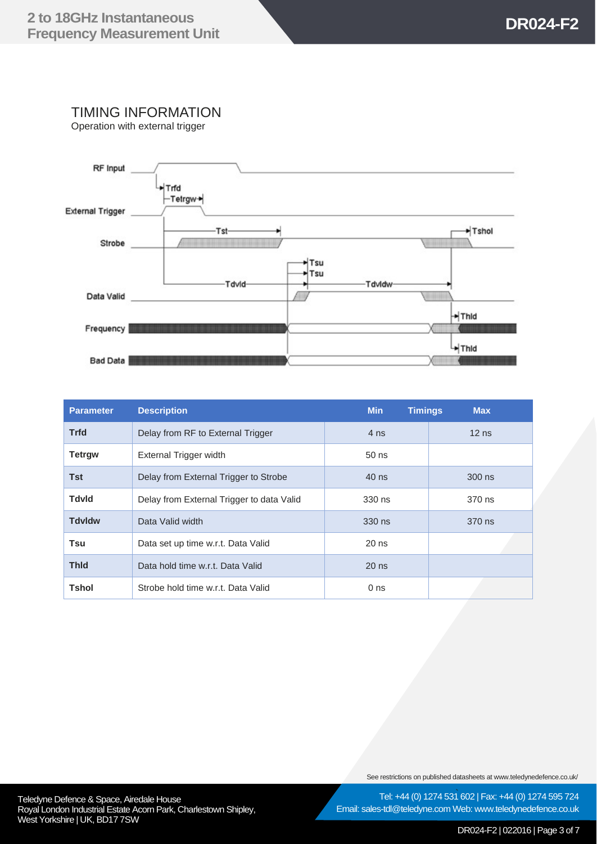TIMING INFORMATION

Operation with external trigger



| <b>Parameter</b> | <b>Description</b>                        | <b>Min</b><br><b>Timings</b> | <b>Max</b> |
|------------------|-------------------------------------------|------------------------------|------------|
| <b>Trfd</b>      | Delay from RF to External Trigger         | 4 ns                         | $12$ ns    |
| <b>Tetrgw</b>    | External Trigger width                    | $50$ ns                      |            |
| <b>Tst</b>       | Delay from External Trigger to Strobe     | 40 ns                        | 300 ns     |
| <b>Tdvld</b>     | Delay from External Trigger to data Valid | $330$ ns                     | 370 ns     |
| <b>Tdvldw</b>    | Data Valid width                          | 330 ns                       | 370 ns     |
| Tsu              | Data set up time w.r.t. Data Valid        | $20$ ns                      |            |
| <b>Thid</b>      | Data hold time w.r.t. Data Valid          | $20$ ns                      |            |
| <b>Tshol</b>     | Strobe hold time w.r.t. Data Valid        | 0 <sub>ns</sub>              |            |

See restrictions on published datasheets at www.teledynedefence.co.uk/

Teledyne Defence & Space, Airedale House and the state of the state of the Tel: +44 (0) 1274 531 Royal London Industrial Estate Acorn Park, Charlestown Shipley, West Yorkshire | UK, BD17 7SW

Tel: +44 (0) 1274 531 602 | Fax: +44 (0) 1274 595 724 Email: sales-tdl@teledyne.com Web: www.teledynedefence.co.uk

DR024-F2 | 022016 | Page 3 of 7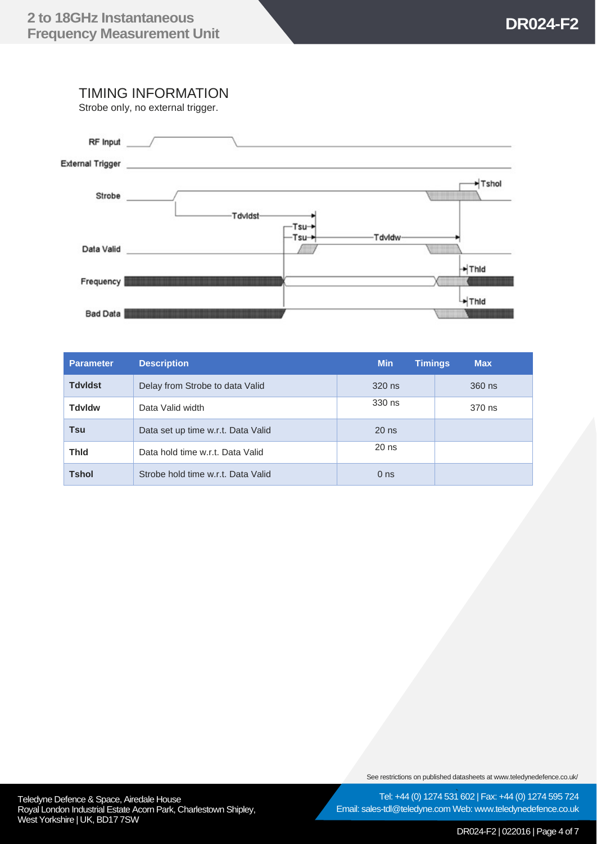### TIMING INFORMATION

Strobe only, no external trigger.



| <b>Parameter</b> | <b>Description</b>                 | <b>Min</b><br><b>Timings</b> | <b>Max</b> |
|------------------|------------------------------------|------------------------------|------------|
| <b>Tdvldst</b>   | Delay from Strobe to data Valid    | 320 ns                       | 360 ns     |
| <b>Tdvldw</b>    | Data Valid width                   | 330 ns                       | 370 ns     |
| Tsu              | Data set up time w.r.t. Data Valid | $20$ ns                      |            |
| <b>Thid</b>      | Data hold time w.r.t. Data Valid   | $20$ ns                      |            |
| <b>Tshol</b>     | Strobe hold time w.r.t. Data Valid | 0 <sub>ns</sub>              |            |

See restrictions on published datasheets at www.teledynedefence.co.uk/

Teledyne Defence & Space, Airedale House and the state of the state of the Tel: +44 (0) 1274 531 Royal London Industrial Estate Acorn Park, Charlestown Shipley, West Yorkshire | UK, BD17 7SW

Tel: +44 (0) 1274 531 602 | Fax: +44 (0) 1274 595 724 Email: sales-tdl@teledyne.com Web: www.teledynedefence.co.uk

DR024-F2 | 022016 | Page 4 of 7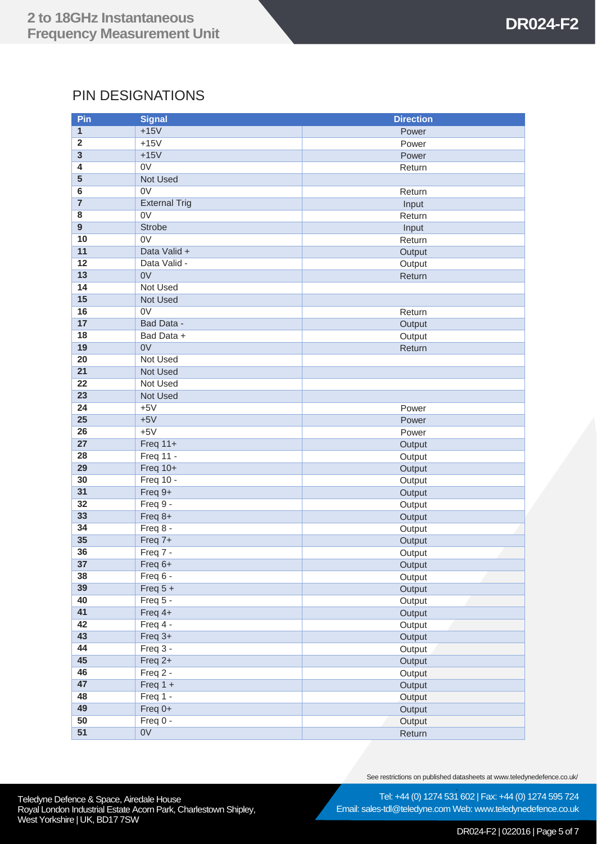# PIN DESIGNATIONS

| Pin                     | <b>Signal</b>          | <b>Direction</b> |
|-------------------------|------------------------|------------------|
| 1                       | $+15V$                 | Power            |
| $\overline{\mathbf{2}}$ | $+15V$                 | Power            |
| $\overline{\mathbf{3}}$ | $+15V$                 | Power            |
| 4                       | 0 <sub>V</sub>         | Return           |
| 5                       | <b>Not Used</b>        |                  |
| 6                       | 0 <sub>V</sub>         | Return           |
| $\overline{7}$          | <b>External Trig</b>   | Input            |
| 8                       | 0V                     | Return           |
| $\overline{9}$          | <b>Strobe</b>          | Input            |
| 10                      | 0 <sub>V</sub>         | Return           |
| 11                      | Data Valid +           | Output           |
| 12                      | Data Valid -           | Output           |
| 13                      | 0V                     | Return           |
| 14                      | Not Used               |                  |
| 15                      | Not Used               |                  |
| 16                      | 0 <sub>V</sub>         | Return           |
| 17                      | Bad Data -             | Output           |
| 18                      | Bad Data +             | Output           |
| 19                      | 0V                     | Return           |
| 20                      | Not Used               |                  |
| 21                      | <b>Not Used</b>        |                  |
| 22                      | Not Used               |                  |
| 23                      | Not Used               |                  |
| 24                      | $+5V$                  | Power            |
| 25                      | $+5V$                  | Power            |
| 26                      | $+5V$                  | Power            |
| 27                      | Freq $11+$             | Output           |
| 28                      | Freq 11 -              | Output           |
| 29                      | Freq 10+               | Output           |
| 30                      | Freq 10 -              | Output           |
| 31                      | Freq 9+                | Output           |
| 32                      | Freq 9 -               | Output           |
| 33                      | Freq 8+                | Output           |
| 34                      | Freq 8 -               | Output           |
| 35                      | Freq 7+                | Output           |
| 36                      | Freq 7 -               | Output           |
| $\overline{37}$         | Freq 6+                | Output           |
| 38                      | Freq 6 -               | Output           |
| 39                      | Freq $5 +$             | Output           |
| 40                      | Freq 5 -               | Output           |
| 41                      | Freq 4+                | Output           |
| 42<br>43                | Freq 4 -               | Output           |
| 44                      | Freq 3+                | Output           |
| 45                      | Freq 3 -               | Output           |
| 46                      | Freq 2+                | Output           |
| 47                      | Freq 2 -               | Output           |
| 48                      | Freq $1 +$<br>Freq 1 - | Output           |
| 49                      | Freq $0+$              | Output           |
| 50                      | Freq 0 -               | Output           |
| 51                      | 0 <sub>V</sub>         | Output<br>Return |
|                         |                        |                  |

See restrictions on published datasheets at www.teledynedefence.co.uk/

Teledyne Defence & Space, Airedale House and the state of the state of the Tel: +44 (0) 1274 531 Royal London Industrial Estate Acorn Park, Charlestown Shipley, West Yorkshire | UK, BD17 7SW

Tel: +44 (0) 1274 531 602 | Fax: +44 (0) 1274 595 724 Email: sales-tdl@teledyne.com Web: www.teledynedefence.co.uk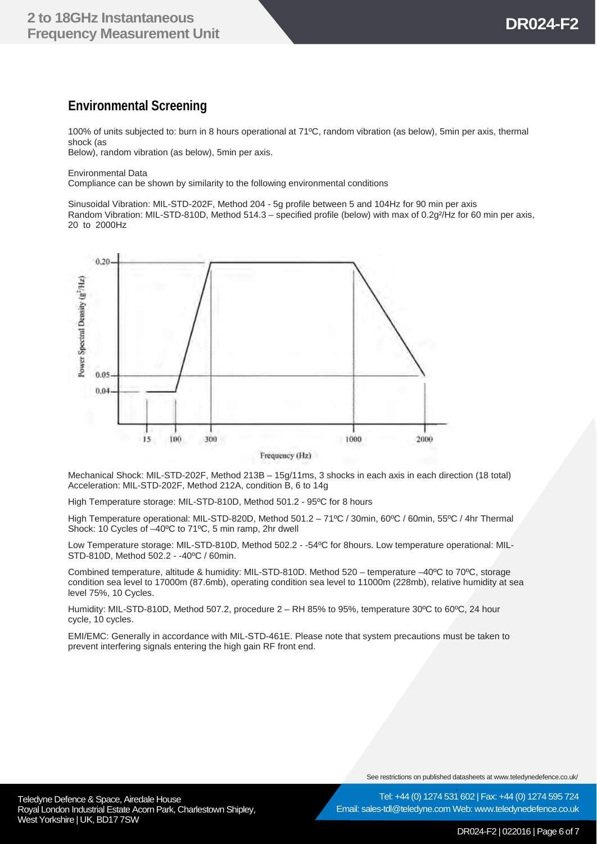### **Environmental Screening**

100% of units subjected to: burn in 8 hours operational at 71ºC, random vibration (as below), 5min per axis, thermal shock (as Below), random vibration (as below), 5min per axis.

Environmental Data

Compliance can be shown by similarity to the following environmental conditions

Sinusoidal Vibration: MIL-STD-202F, Method 204 - 5g profile between 5 and 104Hz for 90 min per axis Random Vibration: MIL-STD-810D, Method 514.3 – specified profile (below) with max of 0.2g²/Hz for 60 min per axis, 20 to 2000Hz



Mechanical Shock: MIL-STD-202F, Method 213B – 15g/11ms, 3 shocks in each axis in each direction (18 total) Acceleration: MIL-STD-202F, Method 212A, condition B, 6 to 14g

High Temperature storage: MIL-STD-810D, Method 501.2 - 95ºC for 8 hours

High Temperature operational: MIL-STD-820D, Method 501.2 – 71ºC / 30min, 60ºC / 60min, 55ºC / 4hr Thermal Shock: 10 Cycles of –40ºC to 71ºC, 5 min ramp, 2hr dwell

Low Temperature storage: MIL-STD-810D, Method 502.2 - -54ºC for 8hours. Low temperature operational: MIL-STD-810D, Method 502.2 - -40ºC / 60min.

Combined temperature, altitude & humidity: MIL-STD-810D. Method 520 – temperature –40ºC to 70ºC, storage condition sea level to 17000m (87.6mb), operating condition sea level to 11000m (228mb), relative humidity at sea level 75%, 10 Cycles.

Humidity: MIL-STD-810D, Method 507.2, procedure 2 – RH 85% to 95%, temperature 30ºC to 60ºC, 24 hour cycle, 10 cycles.

EMI/EMC: Generally in accordance with MIL-STD-461E. Please note that system precautions must be taken to prevent interfering signals entering the high gain RF front end.

See restrictions on published datasheets at www.teledynedefence.co.uk/

Tel: +44 (0) 1274 531 602 | Fax: +44 (0) 1274 595 724

Teledyne Defence & Space, Airedale House and the state of the state of the Tel: +44 (0) 1274 531 Royal London Industrial Estate Acorn Park, Charlestown Shipley, West Yorkshire | UK, BD17 7SW

Email: sales-tdl@teledyne.com Web: www.teledynedefence.co.uk